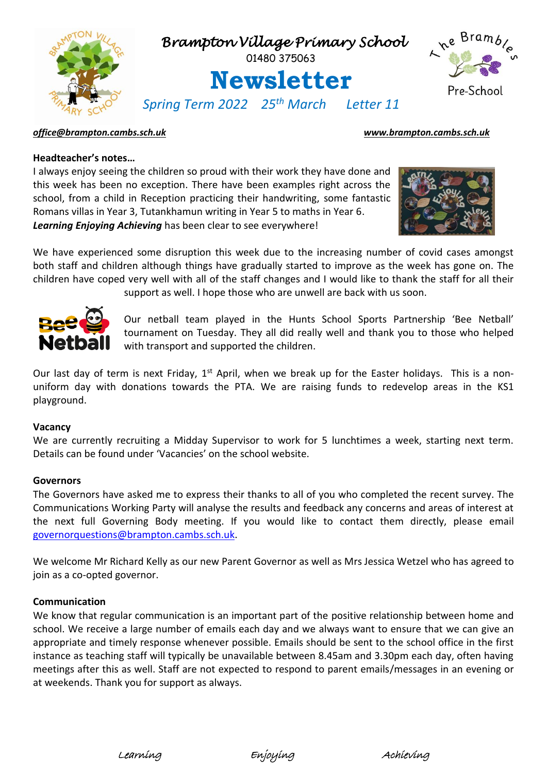

### *[office@brampton.cambs.sch.uk](mailto:office@brampton.cambs.sch.uk) [www.brampton.cambs.sch.uk](http://www.brampton.cambs.sch.uk/)*

### **Headteacher's notes…**

I always enjoy seeing the children so proud with their work they have done and this week has been no exception. There have been examples right across the school, from a child in Reception practicing their handwriting, some fantastic Romans villas in Year 3, Tutankhamun writing in Year 5 to maths in Year 6. *Learning Enjoying Achieving* has been clear to see everywhere!



We have experienced some disruption this week due to the increasing number of covid cases amongst both staff and children although things have gradually started to improve as the week has gone on. The children have coped very well with all of the staff changes and I would like to thank the staff for all their support as well. I hope those who are unwell are back with us soon.



Our netball team played in the Hunts School Sports Partnership 'Bee Netball' tournament on Tuesday. They all did really well and thank you to those who helped with transport and supported the children.

Our last day of term is next Friday, 1<sup>st</sup> April, when we break up for the Easter holidays. This is a nonuniform day with donations towards the PTA. We are raising funds to redevelop areas in the KS1 playground.

### **Vacancy**

We are currently recruiting a Midday Supervisor to work for 5 lunchtimes a week, starting next term. Details can be found under 'Vacancies' on the school website.

### **Governors**

The Governors have asked me to express their thanks to all of you who completed the recent survey. The Communications Working Party will analyse the results and feedback any concerns and areas of interest at the next full Governing Body meeting. If you would like to contact them directly, please email [governorquestions@brampton.cambs.sch.uk.](mailto:governorquestions@brampton.cambs.sch.uk)

We welcome Mr Richard Kelly as our new Parent Governor as well as Mrs Jessica Wetzel who has agreed to join as a co-opted governor.

### **Communication**

We know that regular communication is an important part of the positive relationship between home and school. We receive a large number of emails each day and we always want to ensure that we can give an appropriate and timely response whenever possible. Emails should be sent to the school office in the first instance as teaching staff will typically be unavailable between 8.45am and 3.30pm each day, often having meetings after this as well. Staff are not expected to respond to parent emails/messages in an evening or at weekends. Thank you for support as always.